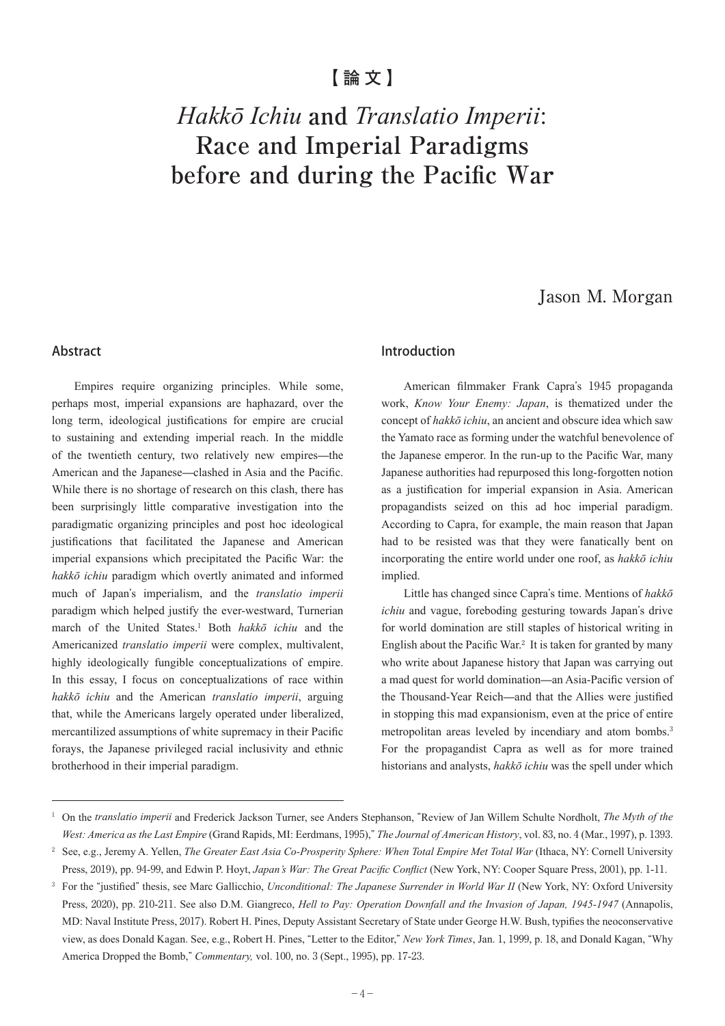## **【論文】**

# *Hakkō Ichiu* **and** *Translatio Imperii*: **Race and Imperial Paradigms before and during the Pacific War**

## Jason M. Morgan

#### Abstract

Empires require organizing principles. While some, perhaps most, imperial expansions are haphazard, over the long term, ideological justifications for empire are crucial to sustaining and extending imperial reach. In the middle of the twentieth century, two relatively new empires—the American and the Japanese—clashed in Asia and the Pacific. While there is no shortage of research on this clash, there has been surprisingly little comparative investigation into the paradigmatic organizing principles and post hoc ideological justifications that facilitated the Japanese and American imperial expansions which precipitated the Pacific War: the *hakkō ichiu* paradigm which overtly animated and informed much of Japan's imperialism, and the *translatio imperii*  paradigm which helped justify the ever-westward, Turnerian march of the United States.<sup>1</sup> Both *hakkō ichiu* and the Americanized *translatio imperii* were complex, multivalent, highly ideologically fungible conceptualizations of empire. In this essay, I focus on conceptualizations of race within *hakkō ichiu* and the American *translatio imperii*, arguing that, while the Americans largely operated under liberalized, mercantilized assumptions of white supremacy in their Pacific forays, the Japanese privileged racial inclusivity and ethnic brotherhood in their imperial paradigm.

#### Introduction

American filmmaker Frank Capra's 1945 propaganda work, *Know Your Enemy: Japan*, is thematized under the concept of *hakkō ichiu*, an ancient and obscure idea which saw the Yamato race as forming under the watchful benevolence of the Japanese emperor. In the run-up to the Pacific War, many Japanese authorities had repurposed this long-forgotten notion as a justification for imperial expansion in Asia. American propagandists seized on this ad hoc imperial paradigm. According to Capra, for example, the main reason that Japan had to be resisted was that they were fanatically bent on incorporating the entire world under one roof, as *hakkō ichiu* implied.

Little has changed since Capra's time. Mentions of *hakkō ichiu* and vague, foreboding gesturing towards Japan's drive for world domination are still staples of historical writing in English about the Pacific War. $2$  It is taken for granted by many who write about Japanese history that Japan was carrying out a mad quest for world domination—an Asia-Pacific version of the Thousand-Year Reich—and that the Allies were justified in stopping this mad expansionism, even at the price of entire metropolitan areas leveled by incendiary and atom bombs.<sup>3</sup> For the propagandist Capra as well as for more trained historians and analysts, *hakkō ichiu* was the spell under which

<sup>&</sup>lt;sup>1</sup> On the *translatio imperii* and Frederick Jackson Turner, see Anders Stephanson, "Review of Jan Willem Schulte Nordholt, The Myth of the *West: America as the Last Empire* (Grand Rapids, MI: Eerdmans, 1995)," *The Journal of American History*, vol. 83, no. 4 (Mar., 1997), p. 1393.

<sup>2</sup> See, e.g., Jeremy A. Yellen, *The Greater East Asia Co-Prosperity Sphere: When Total Empire Met Total War* (Ithaca, NY: Cornell University Press, 2019), pp. 94-99, and Edwin P. Hoyt, *Japan's War: The Great Pacific Conflict* (New York, NY: Cooper Square Press, 2001), pp. 1-11.

<sup>&</sup>lt;sup>3</sup> For the "justified" thesis, see Marc Gallicchio, *Unconditional: The Japanese Surrender in World War II* (New York, NY: Oxford University Press, 2020), pp. 210-211. See also D.M. Giangreco, *Hell to Pay: Operation Downfall and the Invasion of Japan, 1945-1947* (Annapolis, MD: Naval Institute Press, 2017). Robert H. Pines, Deputy Assistant Secretary of State under George H.W. Bush, typifies the neoconservative view, as does Donald Kagan. See, e.g., Robert H. Pines, "Letter to the Editor," *New York Times*, Jan. 1, 1999, p. 18, and Donald Kagan, "Why America Dropped the Bomb," *Commentary,* vol. 100, no. 3 (Sept., 1995), pp. 17-23.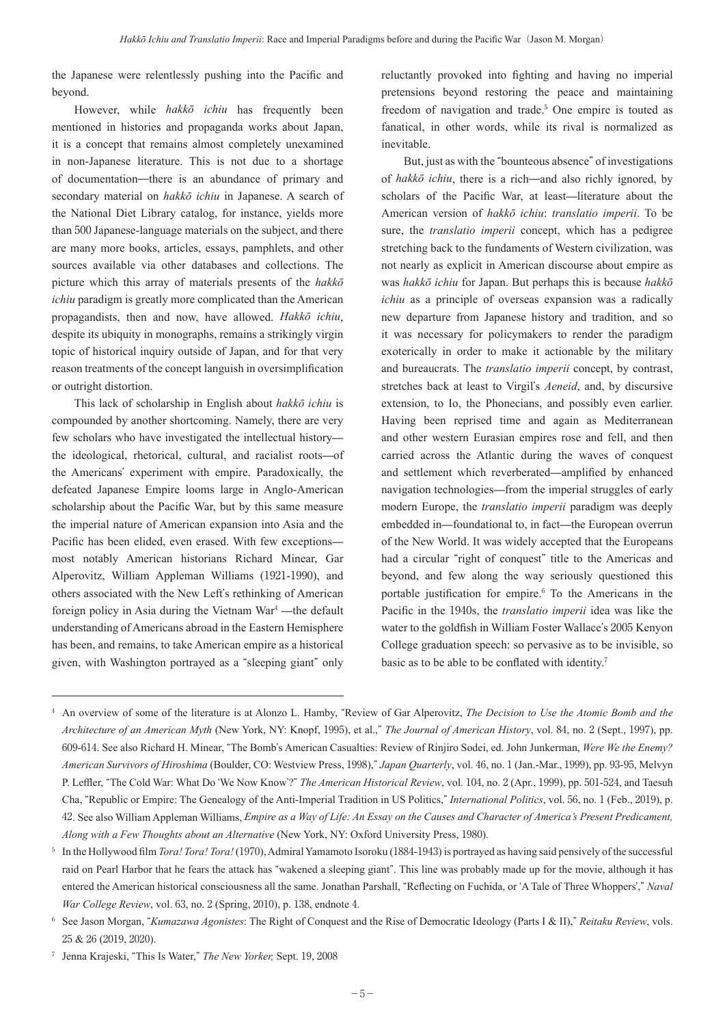the Japanese were relentlessly pushing into the Pacific and beyond.

However, while *hakkō ichiu* has frequently been mentioned in histories and propaganda works about Japan, it is a concept that remains almost completely unexamined in non-Japanese literature. This is not due to a shortage of documentation—there is an abundance of primary and secondary material on *hakkō ichiu* in Japanese. A search of the National Diet Library catalog, for instance, yields more than 500 Japanese-language materials on the subject, and there are many more books, articles, essays, pamphlets, and other sources available via other databases and collections. The picture which this array of materials presents of the *hakkō ichiu* paradigm is greatly more complicated than the American propagandists, then and now, have allowed. *Hakkō ichiu*, despite its ubiquity in monographs, remains a strikingly virgin topic of historical inquiry outside of Japan, and for that very reason treatments of the concept languish in oversimplification or outright distortion.

This lack of scholarship in English about *hakkō ichiu* is compounded by another shortcoming. Namely, there are very few scholars who have investigated the intellectual history the ideological, rhetorical, cultural, and racialist roots—of the Americans' experiment with empire. Paradoxically, the defeated Japanese Empire looms large in Anglo-American scholarship about the Pacific War, but by this same measure the imperial nature of American expansion into Asia and the Pacific has been elided, even erased. With few exceptions most notably American historians Richard Minear, Gar Alperovitz, William Appleman Williams (1921-1990), and others associated with the New Left's rethinking of American foreign policy in Asia during the Vietnam War<sup>4</sup> —the default understanding of Americans abroad in the Eastern Hemisphere has been, and remains, to take American empire as a historical given, with Washington portrayed as a "sleeping giant" only

reluctantly provoked into fighting and having no imperial pretensions beyond restoring the peace and maintaining freedom of navigation and trade.<sup>5</sup> One empire is touted as fanatical, in other words, while its rival is normalized as inevitable.

But, just as with the "bounteous absence" of investigations of *hakkō ichiu*, there is a rich—and also richly ignored, by scholars of the Pacific War, at least—literature about the American version of *hakkō ichiu*: *translatio imperii*. To be sure, the *translatio imperii* concept, which has a pedigree stretching back to the fundaments of Western civilization, was not nearly as explicit in American discourse about empire as was *hakkō ichiu* for Japan. But perhaps this is because *hakkō ichiu* as a principle of overseas expansion was a radically new departure from Japanese history and tradition, and so it was necessary for policymakers to render the paradigm exoterically in order to make it actionable by the military and bureaucrats. The *translatio imperii* concept, by contrast, stretches back at least to Virgil's *Aeneid*, and, by discursive extension, to Io, the Phonecians, and possibly even earlier. Having been reprised time and again as Mediterranean and other western Eurasian empires rose and fell, and then carried across the Atlantic during the waves of conquest and settlement which reverberated—amplified by enhanced navigation technologies—from the imperial struggles of early modern Europe, the *translatio imperii* paradigm was deeply embedded in—foundational to, in fact—the European overrun of the New World. It was widely accepted that the Europeans had a circular "right of conquest" title to the Americas and beyond, and few along the way seriously questioned this portable justification for empire.<sup>6</sup> To the Americans in the Pacific in the 1940s, the *translatio imperii* idea was like the water to the goldfish in William Foster Wallace's 2005 Kenyon College graduation speech: so pervasive as to be invisible, so basic as to be able to be conflated with identity.<sup>7</sup>

<sup>4</sup> An overview of some of the literature is at Alonzo L. Hamby, "Review of Gar Alperovitz, *The Decision to Use the Atomic Bomb and the Architecture of an American Myth* (New York, NY: Knopf, 1995), et al.," *The Journal of American History*, vol. 84, no. 2 (Sept., 1997), pp. 609-614. See also Richard H. Minear, "The Bomb's American Casualties: Review of Rinjiro Sodei, ed. John Junkerman, *Were We the Enemy? American Survivors of Hiroshima* (Boulder, CO: Westview Press, 1998)," *Japan Quarterly*, vol. 46, no. 1 (Jan.-Mar., 1999), pp. 93-95, Melvyn P. Leffler, "The Cold War: What Do ʻWe Now Know'?" *The American Historical Review*, vol. 104, no. 2 (Apr., 1999), pp. 501-524, and Taesuh Cha, "Republic or Empire: The Genealogy of the Anti-Imperial Tradition in US Politics," *International Politics*, vol. 56, no. 1 (Feb., 2019), p. 42. See also William Appleman Williams, *Empire as a Way of Life: An Essay on the Causes and Character of America's Present Predicament, Along with a Few Thoughts about an Alternative* (New York, NY: Oxford University Press, 1980).

<sup>5</sup> In the Hollywood film *Tora! Tora! Tora!* (1970), Admiral Yamamoto Isoroku (1884-1943) is portrayed as having said pensively of the successful raid on Pearl Harbor that he fears the attack has "wakened a sleeping giant". This line was probably made up for the movie, although it has entered the American historical consciousness all the same. Jonathan Parshall, "Reflecting on Fuchida, or ʻA Tale of Three Whoppers'," *Naval War College Review*, vol. 63, no. 2 (Spring, 2010), p. 138, endnote 4.

<sup>6</sup> See Jason Morgan, "*Kumazawa Agonistes*: The Right of Conquest and the Rise of Democratic Ideology (Parts I & II)," *Reitaku Review*, vols. 25 & 26 (2019, 2020).

<sup>7</sup> Jenna Krajeski, "This Is Water," *The New Yorker,* Sept. 19, 2008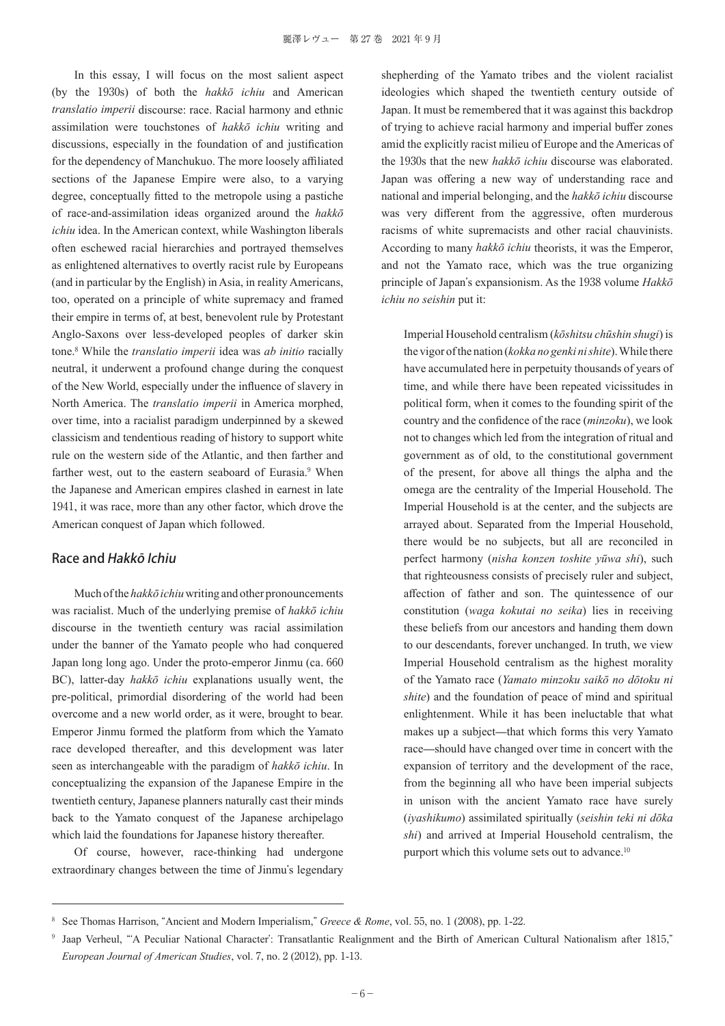In this essay, I will focus on the most salient aspect (by the 1930s) of both the *hakkō ichiu* and American *translatio imperii* discourse: race. Racial harmony and ethnic assimilation were touchstones of *hakkō ichiu* writing and discussions, especially in the foundation of and justification for the dependency of Manchukuo. The more loosely affiliated sections of the Japanese Empire were also, to a varying degree, conceptually fitted to the metropole using a pastiche of race-and-assimilation ideas organized around the *hakkō ichiu* idea. In the American context, while Washington liberals often eschewed racial hierarchies and portrayed themselves as enlightened alternatives to overtly racist rule by Europeans (and in particular by the English) in Asia, in reality Americans, too, operated on a principle of white supremacy and framed their empire in terms of, at best, benevolent rule by Protestant Anglo-Saxons over less-developed peoples of darker skin tone.<sup>8</sup> While the *translatio imperii* idea was *ab initio* racially neutral, it underwent a profound change during the conquest of the New World, especially under the influence of slavery in North America. The *translatio imperii* in America morphed, over time, into a racialist paradigm underpinned by a skewed classicism and tendentious reading of history to support white rule on the western side of the Atlantic, and then farther and farther west, out to the eastern seaboard of Eurasia.<sup>9</sup> When the Japanese and American empires clashed in earnest in late 1941, it was race, more than any other factor, which drove the American conquest of Japan which followed.

#### Race and Hakkō Ichiu

Much of the *hakkō ichiu* writing and other pronouncements was racialist. Much of the underlying premise of *hakkō ichiu* discourse in the twentieth century was racial assimilation under the banner of the Yamato people who had conquered Japan long long ago. Under the proto-emperor Jinmu (ca. 660 BC), latter-day *hakkō ichiu* explanations usually went, the pre-political, primordial disordering of the world had been overcome and a new world order, as it were, brought to bear. Emperor Jinmu formed the platform from which the Yamato race developed thereafter, and this development was later seen as interchangeable with the paradigm of *hakkō ichiu*. In conceptualizing the expansion of the Japanese Empire in the twentieth century, Japanese planners naturally cast their minds back to the Yamato conquest of the Japanese archipelago which laid the foundations for Japanese history thereafter.

Of course, however, race-thinking had undergone extraordinary changes between the time of Jinmu's legendary

shepherding of the Yamato tribes and the violent racialist ideologies which shaped the twentieth century outside of Japan. It must be remembered that it was against this backdrop of trying to achieve racial harmony and imperial buffer zones amid the explicitly racist milieu of Europe and the Americas of the 1930s that the new *hakkō ichiu* discourse was elaborated. Japan was offering a new way of understanding race and national and imperial belonging, and the *hakkō ichiu* discourse was very different from the aggressive, often murderous racisms of white supremacists and other racial chauvinists. According to many *hakkō ichiu* theorists, it was the Emperor, and not the Yamato race, which was the true organizing principle of Japan's expansionism. As the 1938 volume *Hakkō ichiu no seishin* put it:

Imperial Household centralism (*kōshitsu chūshin shugi*) is the vigor of the nation (*kokka no genki ni shite*). While there have accumulated here in perpetuity thousands of years of time, and while there have been repeated vicissitudes in political form, when it comes to the founding spirit of the country and the confidence of the race (*minzoku*), we look not to changes which led from the integration of ritual and government as of old, to the constitutional government of the present, for above all things the alpha and the omega are the centrality of the Imperial Household. The Imperial Household is at the center, and the subjects are arrayed about. Separated from the Imperial Household, there would be no subjects, but all are reconciled in perfect harmony (*nisha konzen toshite yūwa shi*), such that righteousness consists of precisely ruler and subject, affection of father and son. The quintessence of our constitution (*waga kokutai no seika*) lies in receiving these beliefs from our ancestors and handing them down to our descendants, forever unchanged. In truth, we view Imperial Household centralism as the highest morality of the Yamato race (*Yamato minzoku saikō no dōtoku ni shite*) and the foundation of peace of mind and spiritual enlightenment. While it has been ineluctable that what makes up a subject—that which forms this very Yamato race—should have changed over time in concert with the expansion of territory and the development of the race, from the beginning all who have been imperial subjects in unison with the ancient Yamato race have surely (*iyashikumo*) assimilated spiritually (*seishin teki ni dōka shi*) and arrived at Imperial Household centralism, the purport which this volume sets out to advance.<sup>10</sup>

<sup>8</sup> See Thomas Harrison, "Ancient and Modern Imperialism," *Greece & Rome*, vol. 55, no. 1 (2008), pp. 1-22.

<sup>9</sup> Jaap Verheul, "ʻA Peculiar National Character': Transatlantic Realignment and the Birth of American Cultural Nationalism after 1815," *European Journal of American Studies*, vol. 7, no. 2 (2012), pp. 1-13.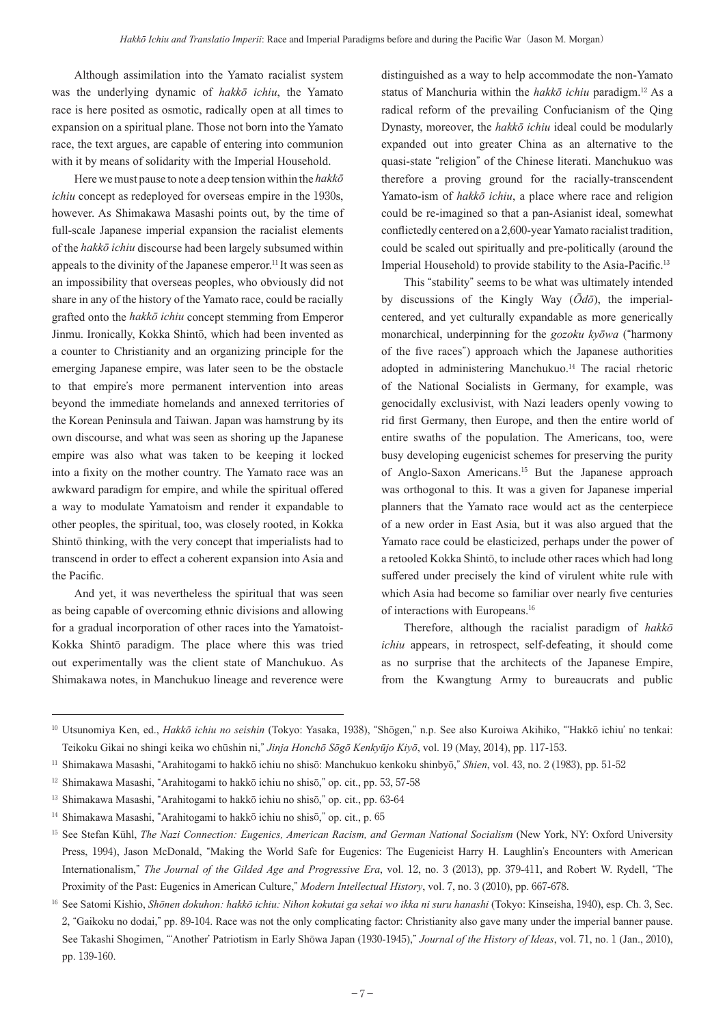Although assimilation into the Yamato racialist system was the underlying dynamic of *hakkō ichiu*, the Yamato race is here posited as osmotic, radically open at all times to expansion on a spiritual plane. Those not born into the Yamato race, the text argues, are capable of entering into communion with it by means of solidarity with the Imperial Household.

Here we must pause to note a deep tension within the *hakkō ichiu* concept as redeployed for overseas empire in the 1930s, however. As Shimakawa Masashi points out, by the time of full-scale Japanese imperial expansion the racialist elements of the *hakkō ichiu* discourse had been largely subsumed within appeals to the divinity of the Japanese emperor.<sup>11</sup> It was seen as an impossibility that overseas peoples, who obviously did not share in any of the history of the Yamato race, could be racially grafted onto the *hakkō ichiu* concept stemming from Emperor Jinmu. Ironically, Kokka Shintō, which had been invented as a counter to Christianity and an organizing principle for the emerging Japanese empire, was later seen to be the obstacle to that empire's more permanent intervention into areas beyond the immediate homelands and annexed territories of the Korean Peninsula and Taiwan. Japan was hamstrung by its own discourse, and what was seen as shoring up the Japanese empire was also what was taken to be keeping it locked into a fixity on the mother country. The Yamato race was an awkward paradigm for empire, and while the spiritual offered a way to modulate Yamatoism and render it expandable to other peoples, the spiritual, too, was closely rooted, in Kokka Shintō thinking, with the very concept that imperialists had to transcend in order to effect a coherent expansion into Asia and the Pacific.

And yet, it was nevertheless the spiritual that was seen as being capable of overcoming ethnic divisions and allowing for a gradual incorporation of other races into the Yamatoist-Kokka Shintō paradigm. The place where this was tried out experimentally was the client state of Manchukuo. As Shimakawa notes, in Manchukuo lineage and reverence were

distinguished as a way to help accommodate the non-Yamato status of Manchuria within the *hakkō ichiu* paradigm.12 As a radical reform of the prevailing Confucianism of the Qing Dynasty, moreover, the *hakkō ichiu* ideal could be modularly expanded out into greater China as an alternative to the quasi-state "religion" of the Chinese literati. Manchukuo was therefore a proving ground for the racially-transcendent Yamato-ism of *hakkō ichiu*, a place where race and religion could be re-imagined so that a pan-Asianist ideal, somewhat conflictedly centered on a 2,600-year Yamato racialist tradition, could be scaled out spiritually and pre-politically (around the Imperial Household) to provide stability to the Asia-Pacific.<sup>13</sup>

This "stability" seems to be what was ultimately intended by discussions of the Kingly Way (*Ōdō*), the imperialcentered, and yet culturally expandable as more generically monarchical, underpinning for the *gozoku kyōwa* ("harmony of the five races") approach which the Japanese authorities adopted in administering Manchukuo.<sup>14</sup> The racial rhetoric of the National Socialists in Germany, for example, was genocidally exclusivist, with Nazi leaders openly vowing to rid first Germany, then Europe, and then the entire world of entire swaths of the population. The Americans, too, were busy developing eugenicist schemes for preserving the purity of Anglo-Saxon Americans.15 But the Japanese approach was orthogonal to this. It was a given for Japanese imperial planners that the Yamato race would act as the centerpiece of a new order in East Asia, but it was also argued that the Yamato race could be elasticized, perhaps under the power of a retooled Kokka Shintō, to include other races which had long suffered under precisely the kind of virulent white rule with which Asia had become so familiar over nearly five centuries of interactions with Europeans.<sup>16</sup>

Therefore, although the racialist paradigm of *hakkō ichiu* appears, in retrospect, self-defeating, it should come as no surprise that the architects of the Japanese Empire, from the Kwangtung Army to bureaucrats and public

<sup>10</sup> Utsunomiya Ken, ed., *Hakkō ichiu no seishin* (Tokyo: Yasaka, 1938), "Shōgen," n.p. See also Kuroiwa Akihiko, "ʻHakkō ichiu' no tenkai: Teikoku Gikai no shingi keika wo chūshin ni," *Jinja Honchō Sōgō Kenkyūjo Kiyō*, vol. 19 (May, 2014), pp. 117-153.

<sup>11</sup> Shimakawa Masashi, "Arahitogami to hakkō ichiu no shisō: Manchukuo kenkoku shinbyō," *Shien*, vol. 43, no. 2 (1983), pp. 51-52

<sup>&</sup>lt;sup>12</sup> Shimakawa Masashi, "Arahitogami to hakkō ichiu no shisō," op. cit., pp. 53, 57-58

<sup>&</sup>lt;sup>13</sup> Shimakawa Masashi, "Arahitogami to hakkō ichiu no shisō," op. cit., pp. 63-64

<sup>14</sup> Shimakawa Masashi, "Arahitogami to hakkō ichiu no shisō," op. cit., p. 65

<sup>&</sup>lt;sup>15</sup> See Stefan Kühl, *The Nazi Connection: Eugenics, American Racism, and German National Socialism* (New York, NY: Oxford University Press, 1994), Jason McDonald, "Making the World Safe for Eugenics: The Eugenicist Harry H. Laughlin's Encounters with American Internationalism," *The Journal of the Gilded Age and Progressive Era*, vol. 12, no. 3 (2013), pp. 379-411, and Robert W. Rydell, "The Proximity of the Past: Eugenics in American Culture," *Modern Intellectual History*, vol. 7, no. 3 (2010), pp. 667-678.

<sup>16</sup> See Satomi Kishio, *Shōnen dokuhon: hakkō ichiu: Nihon kokutai ga sekai wo ikka ni suru hanashi* (Tokyo: Kinseisha, 1940), esp. Ch. 3, Sec. 2, "Gaikoku no dodai," pp. 89-104. Race was not the only complicating factor: Christianity also gave many under the imperial banner pause. See Takashi Shogimen, "ʻAnother' Patriotism in Early Shōwa Japan (1930-1945)," *Journal of the History of Ideas*, vol. 71, no. 1 (Jan., 2010), pp. 139-160.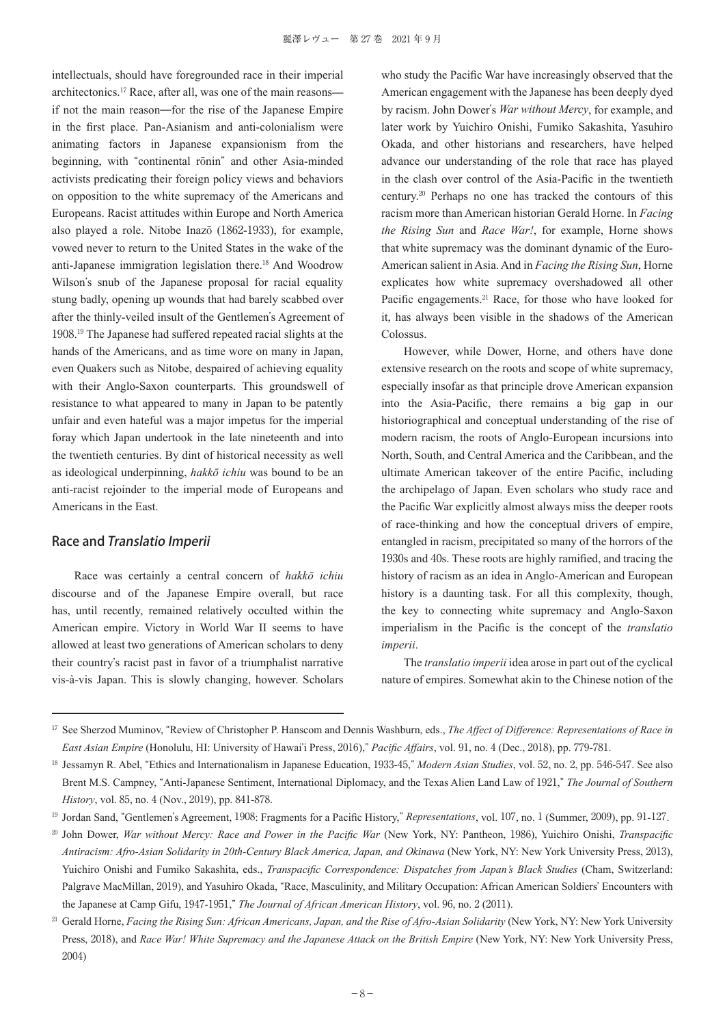intellectuals, should have foregrounded race in their imperial architectonics.17 Race, after all, was one of the main reasons if not the main reason—for the rise of the Japanese Empire in the first place. Pan-Asianism and anti-colonialism were animating factors in Japanese expansionism from the beginning, with "continental rōnin" and other Asia-minded activists predicating their foreign policy views and behaviors on opposition to the white supremacy of the Americans and Europeans. Racist attitudes within Europe and North America also played a role. Nitobe Inazō (1862-1933), for example, vowed never to return to the United States in the wake of the anti-Japanese immigration legislation there.18 And Woodrow Wilson's snub of the Japanese proposal for racial equality stung badly, opening up wounds that had barely scabbed over after the thinly-veiled insult of the Gentlemen's Agreement of 1908. <sup>19</sup> The Japanese had suffered repeated racial slights at the hands of the Americans, and as time wore on many in Japan, even Quakers such as Nitobe, despaired of achieving equality with their Anglo-Saxon counterparts. This groundswell of resistance to what appeared to many in Japan to be patently unfair and even hateful was a major impetus for the imperial foray which Japan undertook in the late nineteenth and into the twentieth centuries. By dint of historical necessity as well as ideological underpinning, *hakkō ichiu* was bound to be an anti-racist rejoinder to the imperial mode of Europeans and Americans in the East.

#### Race and Translatio Imperii

Race was certainly a central concern of *hakkō ichiu* discourse and of the Japanese Empire overall, but race has, until recently, remained relatively occulted within the American empire. Victory in World War II seems to have allowed at least two generations of American scholars to deny their country's racist past in favor of a triumphalist narrative vis-à-vis Japan. This is slowly changing, however. Scholars

who study the Pacific War have increasingly observed that the American engagement with the Japanese has been deeply dyed by racism. John Dower's *War without Mercy*, for example, and later work by Yuichiro Onishi, Fumiko Sakashita, Yasuhiro Okada, and other historians and researchers, have helped advance our understanding of the role that race has played in the clash over control of the Asia-Pacific in the twentieth century.20 Perhaps no one has tracked the contours of this racism more than American historian Gerald Horne. In *Facing the Rising Sun* and *Race War!*, for example, Horne shows that white supremacy was the dominant dynamic of the Euro-American salient in Asia. And in *Facing the Rising Sun*, Horne explicates how white supremacy overshadowed all other Pacific engagements.<sup>21</sup> Race, for those who have looked for it, has always been visible in the shadows of the American Colossus.

However, while Dower, Horne, and others have done extensive research on the roots and scope of white supremacy, especially insofar as that principle drove American expansion into the Asia-Pacific, there remains a big gap in our historiographical and conceptual understanding of the rise of modern racism, the roots of Anglo-European incursions into North, South, and Central America and the Caribbean, and the ultimate American takeover of the entire Pacific, including the archipelago of Japan. Even scholars who study race and the Pacific War explicitly almost always miss the deeper roots of race-thinking and how the conceptual drivers of empire, entangled in racism, precipitated so many of the horrors of the 1930s and 40s. These roots are highly ramified, and tracing the history of racism as an idea in Anglo-American and European history is a daunting task. For all this complexity, though, the key to connecting white supremacy and Anglo-Saxon imperialism in the Pacific is the concept of the *translatio imperii*.

The *translatio imperii* idea arose in part out of the cyclical nature of empires. Somewhat akin to the Chinese notion of the

<sup>&</sup>lt;sup>17</sup> See Sherzod Muminov, "Review of Christopher P. Hanscom and Dennis Washburn, eds., *The Affect of Difference: Representations of Race in East Asian Empire* (Honolulu, HI: University of Hawai'i Press, 2016)," *Pacific Affairs*, vol. 91, no. 4 (Dec., 2018), pp. 779-781.

<sup>18</sup> Jessamyn R. Abel, "Ethics and Internationalism in Japanese Education, 1933-45," *Modern Asian Studies*, vol. 52, no. 2, pp. 546-547. See also Brent M.S. Campney, "Anti-Japanese Sentiment, International Diplomacy, and the Texas Alien Land Law of 1921," *The Journal of Southern History*, vol. 85, no. 4 (Nov., 2019), pp. 841-878.

<sup>19</sup> Jordan Sand, "Gentlemen's Agreement, 1908: Fragments for a Pacific History," *Representations*, vol. 107, no. 1 (Summer, 2009), pp. 91-127.

<sup>20</sup> John Dower, *War without Mercy: Race and Power in the Pacific War* (New York, NY: Pantheon, 1986), Yuichiro Onishi, *Transpacific Antiracism: Afro-Asian Solidarity in 20th-Century Black America, Japan, and Okinawa* (New York, NY: New York University Press, 2013), Yuichiro Onishi and Fumiko Sakashita, eds., *Transpacific Correspondence: Dispatches from Japan's Black Studies* (Cham, Switzerland: Palgrave MacMillan, 2019), and Yasuhiro Okada, "Race, Masculinity, and Military Occupation: African American Soldiers' Encounters with the Japanese at Camp Gifu, 1947-1951," *The Journal of African American History*, vol. 96, no. 2 (2011).

<sup>&</sup>lt;sup>21</sup> Gerald Horne, *Facing the Rising Sun: African Americans, Japan, and the Rise of Afro-Asian Solidarity* (New York, NY: New York University Press, 2018), and *Race War! White Supremacy and the Japanese Attack on the British Empire* (New York, NY: New York University Press, 2004)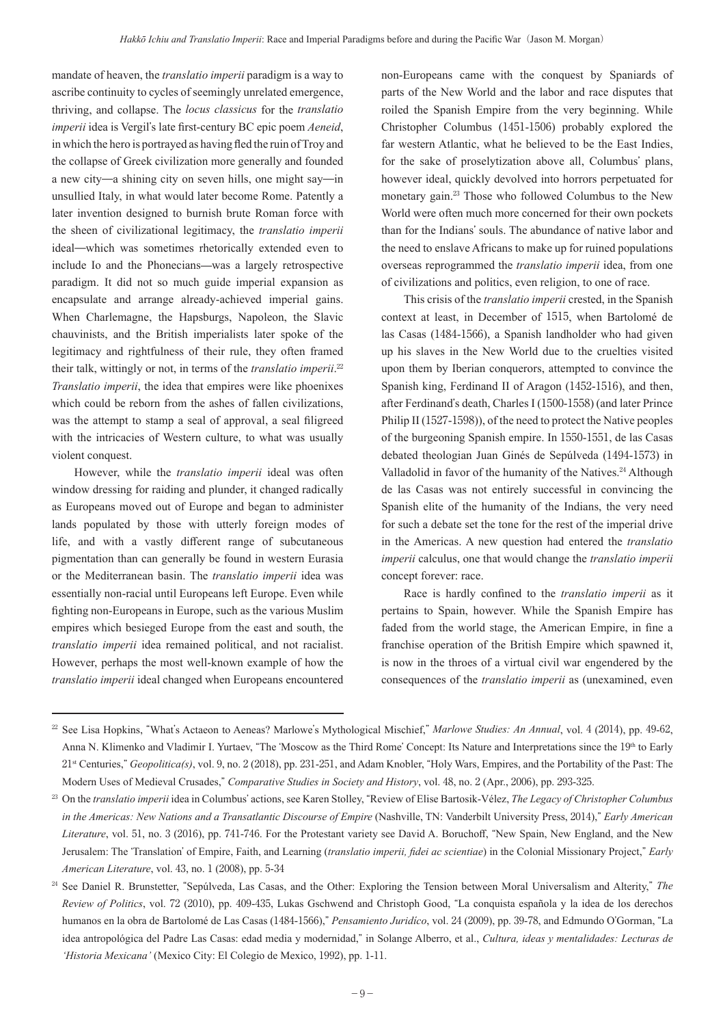mandate of heaven, the *translatio imperii* paradigm is a way to ascribe continuity to cycles of seemingly unrelated emergence, thriving, and collapse. The *locus classicus* for the *translatio imperii* idea is Vergil's late first-century BC epic poem *Aeneid*, in which the hero is portrayed as having fled the ruin of Troy and the collapse of Greek civilization more generally and founded a new city—a shining city on seven hills, one might say—in unsullied Italy, in what would later become Rome. Patently a later invention designed to burnish brute Roman force with the sheen of civilizational legitimacy, the *translatio imperii*  ideal—which was sometimes rhetorically extended even to include Io and the Phonecians—was a largely retrospective paradigm. It did not so much guide imperial expansion as encapsulate and arrange already-achieved imperial gains. When Charlemagne, the Hapsburgs, Napoleon, the Slavic chauvinists, and the British imperialists later spoke of the legitimacy and rightfulness of their rule, they often framed their talk, wittingly or not, in terms of the *translatio imperii*. 22 *Translatio imperii*, the idea that empires were like phoenixes which could be reborn from the ashes of fallen civilizations, was the attempt to stamp a seal of approval, a seal filigreed with the intricacies of Western culture, to what was usually violent conquest.

However, while the *translatio imperii* ideal was often window dressing for raiding and plunder, it changed radically as Europeans moved out of Europe and began to administer lands populated by those with utterly foreign modes of life, and with a vastly different range of subcutaneous pigmentation than can generally be found in western Eurasia or the Mediterranean basin. The *translatio imperii* idea was essentially non-racial until Europeans left Europe. Even while fighting non-Europeans in Europe, such as the various Muslim empires which besieged Europe from the east and south, the *translatio imperii* idea remained political, and not racialist. However, perhaps the most well-known example of how the *translatio imperii* ideal changed when Europeans encountered

non-Europeans came with the conquest by Spaniards of parts of the New World and the labor and race disputes that roiled the Spanish Empire from the very beginning. While Christopher Columbus (1451-1506) probably explored the far western Atlantic, what he believed to be the East Indies, for the sake of proselytization above all, Columbus' plans, however ideal, quickly devolved into horrors perpetuated for monetary gain.23 Those who followed Columbus to the New World were often much more concerned for their own pockets than for the Indians' souls. The abundance of native labor and the need to enslave Africans to make up for ruined populations overseas reprogrammed the *translatio imperii* idea, from one of civilizations and politics, even religion, to one of race.

This crisis of the *translatio imperii* crested, in the Spanish context at least, in December of 1515, when Bartolomé de las Casas (1484-1566), a Spanish landholder who had given up his slaves in the New World due to the cruelties visited upon them by Iberian conquerors, attempted to convince the Spanish king, Ferdinand II of Aragon (1452-1516), and then, after Ferdinand's death, Charles I (1500-1558) (and later Prince Philip II (1527-1598)), of the need to protect the Native peoples of the burgeoning Spanish empire. In 1550-1551, de las Casas debated theologian Juan Ginés de Sepúlveda (1494-1573) in Valladolid in favor of the humanity of the Natives.<sup>24</sup> Although de las Casas was not entirely successful in convincing the Spanish elite of the humanity of the Indians, the very need for such a debate set the tone for the rest of the imperial drive in the Americas. A new question had entered the *translatio imperii* calculus, one that would change the *translatio imperii*  concept forever: race.

Race is hardly confined to the *translatio imperii* as it pertains to Spain, however. While the Spanish Empire has faded from the world stage, the American Empire, in fine a franchise operation of the British Empire which spawned it, is now in the throes of a virtual civil war engendered by the consequences of the *translatio imperii* as (unexamined, even

<sup>&</sup>lt;sup>22</sup> See Lisa Hopkins, "What's Actaeon to Aeneas? Marlowe's Mythological Mischief," Marlowe Studies: An Annual, vol. 4 (2014), pp. 49-62, Anna N. Klimenko and Vladimir I. Yurtaev, "The ʻMoscow as the Third Rome' Concept: Its Nature and Interpretations since the 19th to Early 21st Centuries," *Geopolitica(s)*, vol. 9, no. 2 (2018), pp. 231-251, and Adam Knobler, "Holy Wars, Empires, and the Portability of the Past: The Modern Uses of Medieval Crusades," *Comparative Studies in Society and History*, vol. 48, no. 2 (Apr., 2006), pp. 293-325.

<sup>23</sup> On the *translatio imperii* idea in Columbus' actions, see Karen Stolley, "Review of Elise Bartosik-Vélez, *The Legacy of Christopher Columbus in the Americas: New Nations and a Transatlantic Discourse of Empire* (Nashville, TN: Vanderbilt University Press, 2014)," *Early American Literature*, vol. 51, no. 3 (2016), pp. 741-746. For the Protestant variety see David A. Boruchoff, "New Spain, New England, and the New Jerusalem: The ʻTranslation' of Empire, Faith, and Learning (*translatio imperii, fidei ac scientiae*) in the Colonial Missionary Project," *Early American Literature*, vol. 43, no. 1 (2008), pp. 5-34

<sup>&</sup>lt;sup>24</sup> See Daniel R. Brunstetter, "Sepúlveda, Las Casas, and the Other: Exploring the Tension between Moral Universalism and Alterity," The *Review of Politics*, vol. 72 (2010), pp. 409-435, Lukas Gschwend and Christoph Good, "La conquista española y la idea de los derechos humanos en la obra de Bartolomé de Las Casas (1484-1566)," *Pensamiento Juridíco*, vol. 24 (2009), pp. 39-78, and Edmundo O'Gorman, "La idea antropológica del Padre Las Casas: edad media y modernidad," in Solange Alberro, et al., *Cultura, ideas y mentalidades: Lecturas de 'Historia Mexicana'* (Mexico City: El Colegio de Mexico, 1992), pp. 1-11.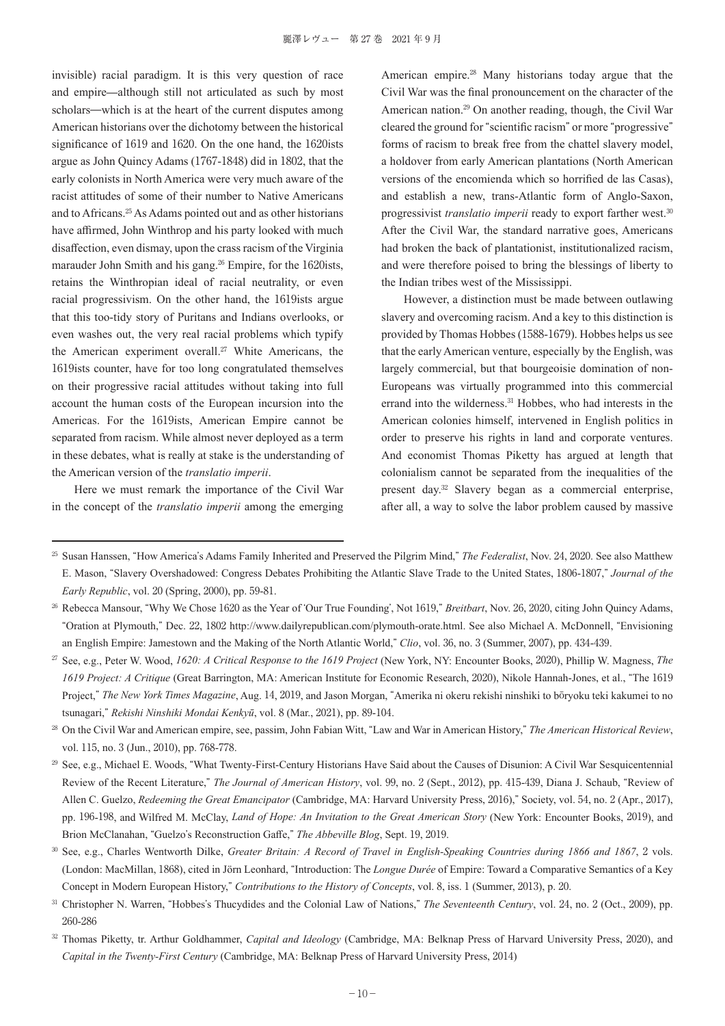invisible) racial paradigm. It is this very question of race and empire—although still not articulated as such by most scholars—which is at the heart of the current disputes among American historians over the dichotomy between the historical significance of 1619 and 1620. On the one hand, the 1620ists argue as John Quincy Adams (1767-1848) did in 1802, that the early colonists in North America were very much aware of the racist attitudes of some of their number to Native Americans and to Africans.25 As Adams pointed out and as other historians have affirmed, John Winthrop and his party looked with much disaffection, even dismay, upon the crass racism of the Virginia marauder John Smith and his gang.26 Empire, for the 1620ists, retains the Winthropian ideal of racial neutrality, or even racial progressivism. On the other hand, the 1619ists argue that this too-tidy story of Puritans and Indians overlooks, or even washes out, the very real racial problems which typify the American experiment overall.<sup>27</sup> White Americans, the 1619ists counter, have for too long congratulated themselves on their progressive racial attitudes without taking into full account the human costs of the European incursion into the Americas. For the 1619ists, American Empire cannot be separated from racism. While almost never deployed as a term in these debates, what is really at stake is the understanding of the American version of the *translatio imperii*.

Here we must remark the importance of the Civil War in the concept of the *translatio imperii* among the emerging

American empire.28 Many historians today argue that the Civil War was the final pronouncement on the character of the American nation.29 On another reading, though, the Civil War cleared the ground for "scientific racism" or more "progressive" forms of racism to break free from the chattel slavery model, a holdover from early American plantations (North American versions of the encomienda which so horrified de las Casas), and establish a new, trans-Atlantic form of Anglo-Saxon, progressivist *translatio imperii* ready to export farther west.<sup>30</sup> After the Civil War, the standard narrative goes, Americans had broken the back of plantationist, institutionalized racism, and were therefore poised to bring the blessings of liberty to the Indian tribes west of the Mississippi.

However, a distinction must be made between outlawing slavery and overcoming racism. And a key to this distinction is provided by Thomas Hobbes (1588-1679). Hobbes helps us see that the early American venture, especially by the English, was largely commercial, but that bourgeoisie domination of non-Europeans was virtually programmed into this commercial errand into the wilderness.<sup>31</sup> Hobbes, who had interests in the American colonies himself, intervened in English politics in order to preserve his rights in land and corporate ventures. And economist Thomas Piketty has argued at length that colonialism cannot be separated from the inequalities of the present day.32 Slavery began as a commercial enterprise, after all, a way to solve the labor problem caused by massive

<sup>25</sup> Susan Hanssen, "How America's Adams Family Inherited and Preserved the Pilgrim Mind," *The Federalist*, Nov. 24, 2020. See also Matthew E. Mason, "Slavery Overshadowed: Congress Debates Prohibiting the Atlantic Slave Trade to the United States, 1806-1807," *Journal of the Early Republic*, vol. 20 (Spring, 2000), pp. 59-81.

<sup>26</sup> Rebecca Mansour, "Why We Chose 1620 as the Year of ʻOur True Founding', Not 1619," *Breitbart*, Nov. 26, 2020, citing John Quincy Adams, "Oration at Plymouth," Dec. 22, 1802 http://www.dailyrepublican.com/plymouth-orate.html. See also Michael A. McDonnell, "Envisioning an English Empire: Jamestown and the Making of the North Atlantic World," *Clio*, vol. 36, no. 3 (Summer, 2007), pp. 434-439.

<sup>27</sup> See, e.g., Peter W. Wood, *1620: A Critical Response to the 1619 Project* (New York, NY: Encounter Books, 2020), Phillip W. Magness, *The 1619 Project: A Critique* (Great Barrington, MA: American Institute for Economic Research, 2020), Nikole Hannah-Jones, et al., "The 1619 Project," *The New York Times Magazine*, Aug. 14, 2019, and Jason Morgan, "Amerika ni okeru rekishi ninshiki to bōryoku teki kakumei to no tsunagari," *Rekishi Ninshiki Mondai Kenkyū*, vol. 8 (Mar., 2021), pp. 89-104.

<sup>28</sup> On the Civil War and American empire, see, passim, John Fabian Witt, "Law and War in American History," *The American Historical Review*, vol. 115, no. 3 (Jun., 2010), pp. 768-778.

<sup>&</sup>lt;sup>29</sup> See, e.g., Michael E. Woods, "What Twenty-First-Century Historians Have Said about the Causes of Disunion: A Civil War Sesquicentennial Review of the Recent Literature," *The Journal of American History*, vol. 99, no. 2 (Sept., 2012), pp. 415-439, Diana J. Schaub, "Review of Allen C. Guelzo, *Redeeming the Great Emancipator* (Cambridge, MA: Harvard University Press, 2016)," Society, vol. 54, no. 2 (Apr., 2017), pp. 196-198, and Wilfred M. McClay, *Land of Hope: An Invitation to the Great American Story* (New York: Encounter Books, 2019), and Brion McClanahan, "Guelzo's Reconstruction Gaffe," *The Abbeville Blog*, Sept. 19, 2019.

<sup>30</sup> See, e.g., Charles Wentworth Dilke, *Greater Britain: A Record of Travel in English-Speaking Countries during 1866 and 1867*, 2 vols. (London: MacMillan, 1868), cited in Jörn Leonhard, "Introduction: The *Longue Durée* of Empire: Toward a Comparative Semantics of a Key Concept in Modern European History," *Contributions to the History of Concepts*, vol. 8, iss. 1 (Summer, 2013), p. 20.

<sup>&</sup>lt;sup>31</sup> Christopher N. Warren, "Hobbes's Thucydides and the Colonial Law of Nations," The Seventeenth Century, vol. 24, no. 2 (Oct., 2009), pp. 260-286

<sup>32</sup> Thomas Piketty, tr. Arthur Goldhammer, *Capital and Ideology* (Cambridge, MA: Belknap Press of Harvard University Press, 2020), and *Capital in the Twenty-First Century* (Cambridge, MA: Belknap Press of Harvard University Press, 2014)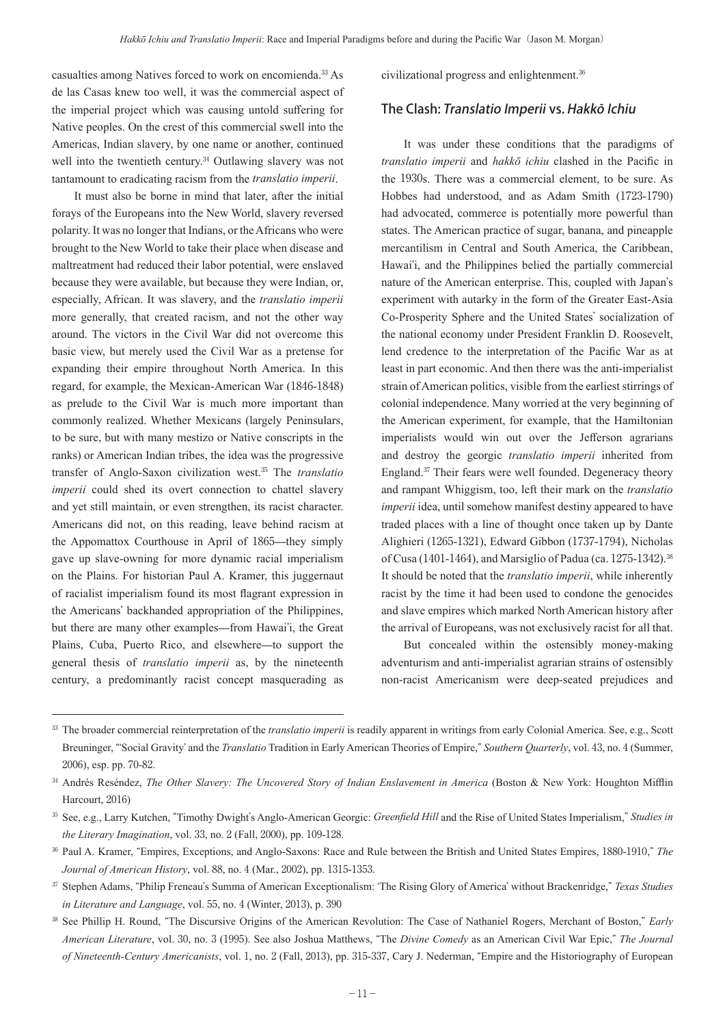casualties among Natives forced to work on encomienda.33 As de las Casas knew too well, it was the commercial aspect of the imperial project which was causing untold suffering for Native peoples. On the crest of this commercial swell into the Americas, Indian slavery, by one name or another, continued well into the twentieth century.<sup>34</sup> Outlawing slavery was not tantamount to eradicating racism from the *translatio imperii*.

It must also be borne in mind that later, after the initial forays of the Europeans into the New World, slavery reversed polarity. It was no longer that Indians, or the Africans who were brought to the New World to take their place when disease and maltreatment had reduced their labor potential, were enslaved because they were available, but because they were Indian, or, especially, African. It was slavery, and the *translatio imperii*  more generally, that created racism, and not the other way around. The victors in the Civil War did not overcome this basic view, but merely used the Civil War as a pretense for expanding their empire throughout North America. In this regard, for example, the Mexican-American War (1846-1848) as prelude to the Civil War is much more important than commonly realized. Whether Mexicans (largely Peninsulars, to be sure, but with many mestizo or Native conscripts in the ranks) or American Indian tribes, the idea was the progressive transfer of Anglo-Saxon civilization west.35 The *translatio imperii* could shed its overt connection to chattel slavery and yet still maintain, or even strengthen, its racist character. Americans did not, on this reading, leave behind racism at the Appomattox Courthouse in April of 1865—they simply gave up slave-owning for more dynamic racial imperialism on the Plains. For historian Paul A. Kramer, this juggernaut of racialist imperialism found its most flagrant expression in the Americans' backhanded appropriation of the Philippines, but there are many other examples—from Hawai'i, the Great Plains, Cuba, Puerto Rico, and elsewhere—to support the general thesis of *translatio imperii* as, by the nineteenth century, a predominantly racist concept masquerading as

civilizational progress and enlightenment.<sup>36</sup>

#### The Clash: Translatio Imperii vs. Hakkō Ichiu

It was under these conditions that the paradigms of *translatio imperii* and *hakkō ichiu* clashed in the Pacific in the 1930s. There was a commercial element, to be sure. As Hobbes had understood, and as Adam Smith (1723-1790) had advocated, commerce is potentially more powerful than states. The American practice of sugar, banana, and pineapple mercantilism in Central and South America, the Caribbean, Hawai'i, and the Philippines belied the partially commercial nature of the American enterprise. This, coupled with Japan's experiment with autarky in the form of the Greater East-Asia Co-Prosperity Sphere and the United States' socialization of the national economy under President Franklin D. Roosevelt, lend credence to the interpretation of the Pacific War as at least in part economic. And then there was the anti-imperialist strain of American politics, visible from the earliest stirrings of colonial independence. Many worried at the very beginning of the American experiment, for example, that the Hamiltonian imperialists would win out over the Jefferson agrarians and destroy the georgic *translatio imperii* inherited from England.<sup>37</sup> Their fears were well founded. Degeneracy theory and rampant Whiggism, too, left their mark on the *translatio imperii* idea, until somehow manifest destiny appeared to have traded places with a line of thought once taken up by Dante Alighieri (1265-1321), Edward Gibbon (1737-1794), Nicholas of Cusa (1401-1464), and Marsiglio of Padua (ca. 1275-1342).<sup>38</sup> It should be noted that the *translatio imperii*, while inherently racist by the time it had been used to condone the genocides and slave empires which marked North American history after the arrival of Europeans, was not exclusively racist for all that.

But concealed within the ostensibly money-making adventurism and anti-imperialist agrarian strains of ostensibly non-racist Americanism were deep-seated prejudices and

<sup>&</sup>lt;sup>33</sup> The broader commercial reinterpretation of the *translatio imperii* is readily apparent in writings from early Colonial America. See, e.g., Scott Breuninger, "ʻSocial Gravity' and the *Translatio* Tradition in Early American Theories of Empire," *Southern Quarterly*, vol. 43, no. 4 (Summer, 2006), esp. pp. 70-82.

<sup>34</sup> Andrés Reséndez, *The Other Slavery: The Uncovered Story of Indian Enslavement in America* (Boston & New York: Houghton Mifflin Harcourt, 2016)

<sup>35</sup> See, e.g., Larry Kutchen, "Timothy Dwight's Anglo-American Georgic: *Greenfield Hill* and the Rise of United States Imperialism," *Studies in the Literary Imagination*, vol. 33, no. 2 (Fall, 2000), pp. 109-128.

<sup>36</sup> Paul A. Kramer, "Empires, Exceptions, and Anglo-Saxons: Race and Rule between the British and United States Empires, 1880-1910," *The Journal of American History*, vol. 88, no. 4 (Mar., 2002), pp. 1315-1353.

<sup>37</sup> Stephen Adams, "Philip Freneau's Summa of American Exceptionalism: ʻThe Rising Glory of America' without Brackenridge," *Texas Studies in Literature and Language*, vol. 55, no. 4 (Winter, 2013), p. 390

<sup>38</sup> See Phillip H. Round, "The Discursive Origins of the American Revolution: The Case of Nathaniel Rogers, Merchant of Boston," *Early American Literature*, vol. 30, no. 3 (1995). See also Joshua Matthews, "The *Divine Comedy* as an American Civil War Epic," *The Journal of Nineteenth-Century Americanists*, vol. 1, no. 2 (Fall, 2013), pp. 315-337, Cary J. Nederman, "Empire and the Historiography of European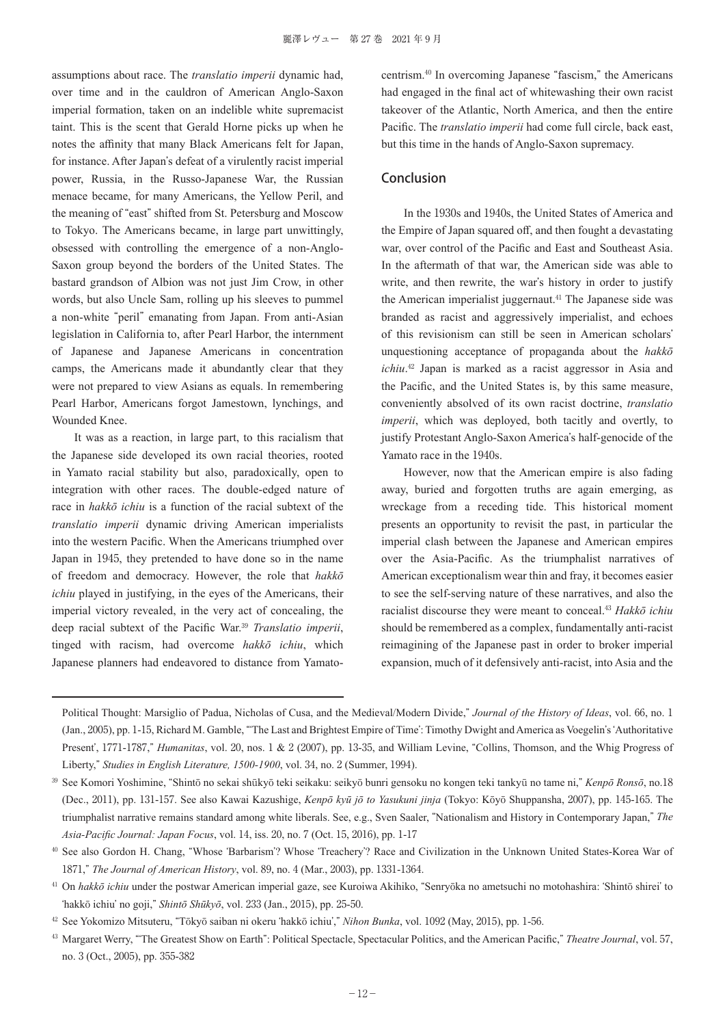assumptions about race. The *translatio imperii* dynamic had, over time and in the cauldron of American Anglo-Saxon imperial formation, taken on an indelible white supremacist taint. This is the scent that Gerald Horne picks up when he notes the affinity that many Black Americans felt for Japan, for instance. After Japan's defeat of a virulently racist imperial power, Russia, in the Russo-Japanese War, the Russian menace became, for many Americans, the Yellow Peril, and the meaning of "east" shifted from St. Petersburg and Moscow to Tokyo. The Americans became, in large part unwittingly, obsessed with controlling the emergence of a non-Anglo-Saxon group beyond the borders of the United States. The bastard grandson of Albion was not just Jim Crow, in other words, but also Uncle Sam, rolling up his sleeves to pummel a non-white "peril" emanating from Japan. From anti-Asian legislation in California to, after Pearl Harbor, the internment of Japanese and Japanese Americans in concentration camps, the Americans made it abundantly clear that they were not prepared to view Asians as equals. In remembering Pearl Harbor, Americans forgot Jamestown, lynchings, and Wounded Knee.

It was as a reaction, in large part, to this racialism that the Japanese side developed its own racial theories, rooted in Yamato racial stability but also, paradoxically, open to integration with other races. The double-edged nature of race in *hakkō ichiu* is a function of the racial subtext of the *translatio imperii* dynamic driving American imperialists into the western Pacific. When the Americans triumphed over Japan in 1945, they pretended to have done so in the name of freedom and democracy. However, the role that *hakkō ichiu* played in justifying, in the eyes of the Americans, their imperial victory revealed, in the very act of concealing, the deep racial subtext of the Pacific War.<sup>39</sup> *Translatio imperii*, tinged with racism, had overcome *hakkō ichiu*, which Japanese planners had endeavored to distance from Yamatocentrism.40 In overcoming Japanese "fascism," the Americans had engaged in the final act of whitewashing their own racist takeover of the Atlantic, North America, and then the entire Pacific. The *translatio imperii* had come full circle, back east, but this time in the hands of Anglo-Saxon supremacy.

#### Conclusion

In the 1930s and 1940s, the United States of America and the Empire of Japan squared off, and then fought a devastating war, over control of the Pacific and East and Southeast Asia. In the aftermath of that war, the American side was able to write, and then rewrite, the war's history in order to justify the American imperialist juggernaut.<sup>41</sup> The Japanese side was branded as racist and aggressively imperialist, and echoes of this revisionism can still be seen in American scholars' unquestioning acceptance of propaganda about the *hakkō ichiu*. <sup>42</sup> Japan is marked as a racist aggressor in Asia and the Pacific, and the United States is, by this same measure, conveniently absolved of its own racist doctrine, *translatio imperii*, which was deployed, both tacitly and overtly, to justify Protestant Anglo-Saxon America's half-genocide of the Yamato race in the 1940s.

However, now that the American empire is also fading away, buried and forgotten truths are again emerging, as wreckage from a receding tide. This historical moment presents an opportunity to revisit the past, in particular the imperial clash between the Japanese and American empires over the Asia-Pacific. As the triumphalist narratives of American exceptionalism wear thin and fray, it becomes easier to see the self-serving nature of these narratives, and also the racialist discourse they were meant to conceal.<sup>43</sup> *Hakkō ichiu* should be remembered as a complex, fundamentally anti-racist reimagining of the Japanese past in order to broker imperial expansion, much of it defensively anti-racist, into Asia and the

Political Thought: Marsiglio of Padua, Nicholas of Cusa, and the Medieval/Modern Divide," *Journal of the History of Ideas*, vol. 66, no. 1 (Jan., 2005), pp. 1-15, Richard M. Gamble, "ʻThe Last and Brightest Empire of Time': Timothy Dwight and America as Voegelin's ʻAuthoritative Present', 1771-1787," *Humanitas*, vol. 20, nos. 1 & 2 (2007), pp. 13-35, and William Levine, "Collins, Thomson, and the Whig Progress of Liberty," *Studies in English Literature, 1500-1900*, vol. 34, no. 2 (Summer, 1994).

<sup>39</sup> See Komori Yoshimine, "Shintō no sekai shūkyō teki seikaku: seikyō bunri gensoku no kongen teki tankyū no tame ni," *Kenpō Ronsō*, no.18 (Dec., 2011), pp. 131-157. See also Kawai Kazushige, *Kenpō kyū jō to Yasukuni jinja* (Tokyo: Kōyō Shuppansha, 2007), pp. 145-165. The triumphalist narrative remains standard among white liberals. See, e.g., Sven Saaler, "Nationalism and History in Contemporary Japan," *The Asia-Pacific Journal: Japan Focus*, vol. 14, iss. 20, no. 7 (Oct. 15, 2016), pp. 1-17

<sup>40</sup> See also Gordon H. Chang, "Whose ʻBarbarism'? Whose ʻTreachery'? Race and Civilization in the Unknown United States-Korea War of 1871," *The Journal of American History*, vol. 89, no. 4 (Mar., 2003), pp. 1331-1364.

<sup>41</sup> On *hakkō ichiu* under the postwar American imperial gaze, see Kuroiwa Akihiko, "Senryōka no ametsuchi no motohashira: ʻShintō shirei' to ʻhakkō ichiu' no goji," *Shintō Shūkyō*, vol. 233 (Jan., 2015), pp. 25-50.

<sup>42</sup> See Yokomizo Mitsuteru, "Tōkyō saiban ni okeru ʻhakkō ichiu'," *Nihon Bunka*, vol. 1092 (May, 2015), pp. 1-56.

<sup>43</sup> Margaret Werry, "ʻThe Greatest Show on Earth": Political Spectacle, Spectacular Politics, and the American Pacific," *Theatre Journal*, vol. 57, no. 3 (Oct., 2005), pp. 355-382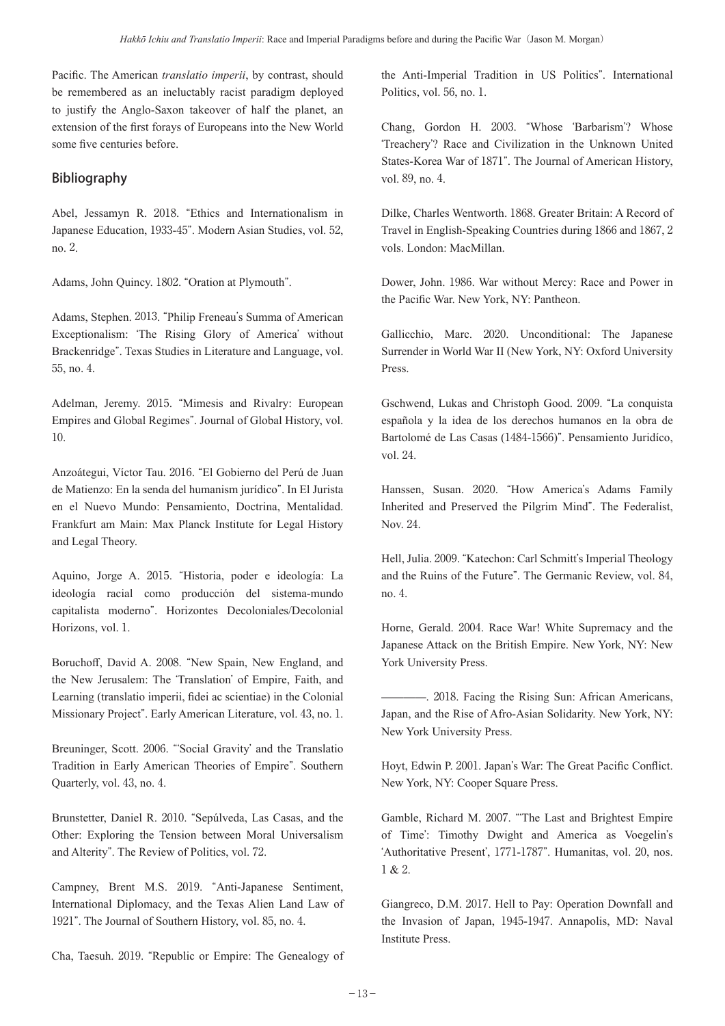Pacific. The American *translatio imperii*, by contrast, should be remembered as an ineluctably racist paradigm deployed to justify the Anglo-Saxon takeover of half the planet, an extension of the first forays of Europeans into the New World some five centuries before.

### Bibliography

Abel, Jessamyn R. 2018. "Ethics and Internationalism in Japanese Education, 1933-45". Modern Asian Studies, vol. 52, no. 2.

Adams, John Quincy. 1802. "Oration at Plymouth".

Adams, Stephen. 2013. "Philip Freneau's Summa of American Exceptionalism: ʻThe Rising Glory of America' without Brackenridge". Texas Studies in Literature and Language, vol. 55, no. 4.

Adelman, Jeremy. 2015. "Mimesis and Rivalry: European Empires and Global Regimes". Journal of Global History, vol. 10.

Anzoátegui, Víctor Tau. 2016. "El Gobierno del Perú de Juan de Matienzo: En la senda del humanism jurídico". In El Jurista en el Nuevo Mundo: Pensamiento, Doctrina, Mentalidad. Frankfurt am Main: Max Planck Institute for Legal History and Legal Theory.

Aquino, Jorge A. 2015. "Historia, poder e ideología: La ideología racial como producción del sistema-mundo capitalista moderno". Horizontes Decoloniales/Decolonial Horizons, vol. 1.

Boruchoff, David A. 2008. "New Spain, New England, and the New Jerusalem: The ʻTranslation' of Empire, Faith, and Learning (translatio imperii, fidei ac scientiae) in the Colonial Missionary Project". Early American Literature, vol. 43, no. 1.

Breuninger, Scott. 2006. "ʻSocial Gravity' and the Translatio Tradition in Early American Theories of Empire". Southern Quarterly, vol. 43, no. 4.

Brunstetter, Daniel R. 2010. "Sepúlveda, Las Casas, and the Other: Exploring the Tension between Moral Universalism and Alterity". The Review of Politics, vol. 72.

Campney, Brent M.S. 2019. "Anti-Japanese Sentiment, International Diplomacy, and the Texas Alien Land Law of 1921". The Journal of Southern History, vol. 85, no. 4.

Cha, Taesuh. 2019. "Republic or Empire: The Genealogy of

the Anti-Imperial Tradition in US Politics". International Politics, vol. 56, no. 1.

Chang, Gordon H. 2003. "Whose ʻBarbarism'? Whose ʻTreachery'? Race and Civilization in the Unknown United States-Korea War of 1871". The Journal of American History, vol. 89, no. 4.

Dilke, Charles Wentworth. 1868. Greater Britain: A Record of Travel in English-Speaking Countries during 1866 and 1867, 2 vols. London: MacMillan.

Dower, John. 1986. War without Mercy: Race and Power in the Pacific War. New York, NY: Pantheon.

Gallicchio, Marc. 2020. Unconditional: The Japanese Surrender in World War II (New York, NY: Oxford University Press.

Gschwend, Lukas and Christoph Good. 2009. "La conquista española y la idea de los derechos humanos en la obra de Bartolomé de Las Casas (1484-1566)". Pensamiento Juridíco, vol. 24.

Hanssen, Susan. 2020. "How America's Adams Family Inherited and Preserved the Pilgrim Mind". The Federalist, Nov. 24.

Hell, Julia. 2009. "Katechon: Carl Schmitt's Imperial Theology and the Ruins of the Future". The Germanic Review, vol. 84, no. 4.

Horne, Gerald. 2004. Race War! White Supremacy and the Japanese Attack on the British Empire. New York, NY: New York University Press.

————. 2018. Facing the Rising Sun: African Americans, Japan, and the Rise of Afro-Asian Solidarity. New York, NY: New York University Press.

Hoyt, Edwin P. 2001. Japan's War: The Great Pacific Conflict. New York, NY: Cooper Square Press.

Gamble, Richard M. 2007. "ʻThe Last and Brightest Empire of Time': Timothy Dwight and America as Voegelin's ʻAuthoritative Present', 1771-1787". Humanitas, vol. 20, nos. 1 & 2.

Giangreco, D.M. 2017. Hell to Pay: Operation Downfall and the Invasion of Japan, 1945-1947. Annapolis, MD: Naval Institute Press.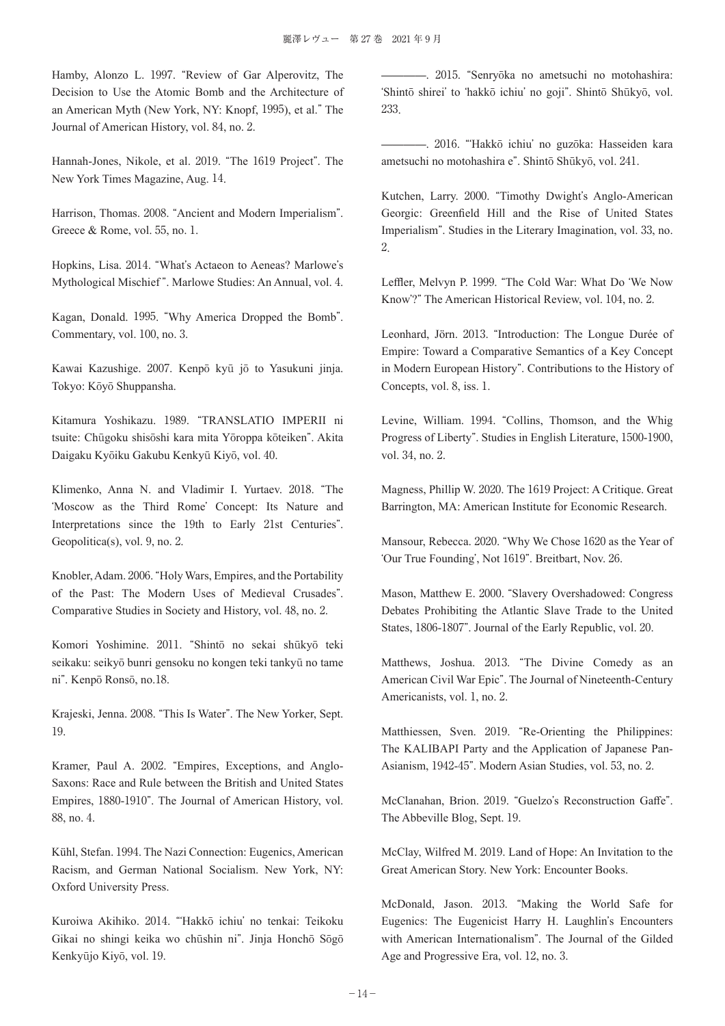Hamby, Alonzo L. 1997. "Review of Gar Alperovitz, The Decision to Use the Atomic Bomb and the Architecture of an American Myth (New York, NY: Knopf, 1995), et al." The Journal of American History, vol. 84, no. 2.

Hannah-Jones, Nikole, et al. 2019. "The 1619 Project". The New York Times Magazine, Aug. 14.

Harrison, Thomas. 2008. "Ancient and Modern Imperialism". Greece & Rome, vol. 55, no. 1.

Hopkins, Lisa. 2014. "What's Actaeon to Aeneas? Marlowe's Mythological Mischief ". Marlowe Studies: An Annual, vol. 4.

Kagan, Donald. 1995. "Why America Dropped the Bomb". Commentary, vol. 100, no. 3.

Kawai Kazushige. 2007. Kenpō kyū jō to Yasukuni jinja. Tokyo: Kōyō Shuppansha.

Kitamura Yoshikazu. 1989. "TRANSLATIO IMPERII ni tsuite: Chūgoku shisōshi kara mita Yōroppa kōteiken". Akita Daigaku Kyōiku Gakubu Kenkyū Kiyō, vol. 40.

Klimenko, Anna N. and Vladimir I. Yurtaev. 2018. "The ʻMoscow as the Third Rome' Concept: Its Nature and Interpretations since the 19th to Early 21st Centuries". Geopolitica(s), vol. 9, no. 2.

Knobler, Adam. 2006. "Holy Wars, Empires, and the Portability of the Past: The Modern Uses of Medieval Crusades". Comparative Studies in Society and History, vol. 48, no. 2.

Komori Yoshimine. 2011. "Shintō no sekai shūkyō teki seikaku: seikyō bunri gensoku no kongen teki tankyū no tame ni". Kenpō Ronsō, no.18.

Krajeski, Jenna. 2008. "This Is Water". The New Yorker, Sept. 19.

Kramer, Paul A. 2002. "Empires, Exceptions, and Anglo-Saxons: Race and Rule between the British and United States Empires, 1880-1910". The Journal of American History, vol. 88, no. 4.

Kühl, Stefan. 1994. The Nazi Connection: Eugenics, American Racism, and German National Socialism. New York, NY: Oxford University Press.

Kuroiwa Akihiko. 2014. "ʻHakkō ichiu' no tenkai: Teikoku Gikai no shingi keika wo chūshin ni". Jinja Honchō Sōgō Kenkyūjo Kiyō, vol. 19.

————. 2015. "Senryōka no ametsuchi no motohashira: ʻShintō shirei' to ʻhakkō ichiu' no goji". Shintō Shūkyō, vol. 233.

————. 2016. "ʻHakkō ichiu' no guzōka: Hasseiden kara ametsuchi no motohashira e". Shintō Shūkyō, vol. 241.

Kutchen, Larry. 2000. "Timothy Dwight's Anglo-American Georgic: Greenfield Hill and the Rise of United States Imperialism". Studies in the Literary Imagination, vol. 33, no. 2.

Leffler, Melvyn P. 1999. "The Cold War: What Do ʻWe Now Know'?" The American Historical Review, vol. 104, no. 2.

Leonhard, Jörn. 2013. "Introduction: The Longue Durée of Empire: Toward a Comparative Semantics of a Key Concept in Modern European History". Contributions to the History of Concepts, vol. 8, iss. 1.

Levine, William. 1994. "Collins, Thomson, and the Whig Progress of Liberty". Studies in English Literature, 1500-1900, vol. 34, no. 2.

Magness, Phillip W. 2020. The 1619 Project: A Critique. Great Barrington, MA: American Institute for Economic Research.

Mansour, Rebecca. 2020. "Why We Chose 1620 as the Year of ʻOur True Founding', Not 1619". Breitbart, Nov. 26.

Mason, Matthew E. 2000. "Slavery Overshadowed: Congress Debates Prohibiting the Atlantic Slave Trade to the United States, 1806-1807". Journal of the Early Republic, vol. 20.

Matthews, Joshua. 2013. "The Divine Comedy as an American Civil War Epic". The Journal of Nineteenth-Century Americanists, vol. 1, no. 2.

Matthiessen, Sven. 2019. "Re-Orienting the Philippines: The KALIBAPI Party and the Application of Japanese Pan-Asianism, 1942-45". Modern Asian Studies, vol. 53, no. 2.

McClanahan, Brion. 2019. "Guelzo's Reconstruction Gaffe". The Abbeville Blog, Sept. 19.

McClay, Wilfred M. 2019. Land of Hope: An Invitation to the Great American Story. New York: Encounter Books.

McDonald, Jason. 2013. "Making the World Safe for Eugenics: The Eugenicist Harry H. Laughlin's Encounters with American Internationalism". The Journal of the Gilded Age and Progressive Era, vol. 12, no. 3.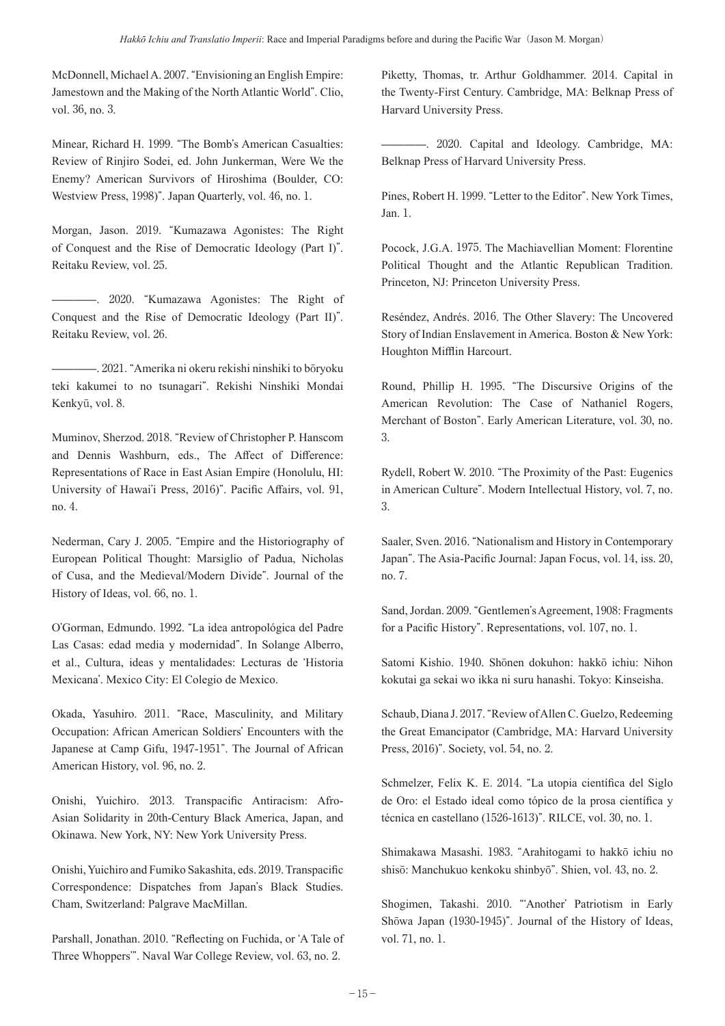McDonnell, Michael A. 2007. "Envisioning an English Empire: Jamestown and the Making of the North Atlantic World". Clio, vol. 36, no. 3.

Minear, Richard H. 1999. "The Bomb's American Casualties: Review of Rinjiro Sodei, ed. John Junkerman, Were We the Enemy? American Survivors of Hiroshima (Boulder, CO: Westview Press, 1998)". Japan Quarterly, vol. 46, no. 1.

Morgan, Jason. 2019. "Kumazawa Agonistes: The Right of Conquest and the Rise of Democratic Ideology (Part I)". Reitaku Review, vol. 25.

————. 2020. "Kumazawa Agonistes: The Right of Conquest and the Rise of Democratic Ideology (Part II)". Reitaku Review, vol. 26.

————. 2021. "Amerika ni okeru rekishi ninshiki to bōryoku teki kakumei to no tsunagari". Rekishi Ninshiki Mondai Kenkyū, vol. 8.

Muminov, Sherzod. 2018. "Review of Christopher P. Hanscom and Dennis Washburn, eds., The Affect of Difference: Representations of Race in East Asian Empire (Honolulu, HI: University of Hawai'i Press, 2016)". Pacific Affairs, vol. 91, no. 4.

Nederman, Cary J. 2005. "Empire and the Historiography of European Political Thought: Marsiglio of Padua, Nicholas of Cusa, and the Medieval/Modern Divide". Journal of the History of Ideas, vol. 66, no. 1.

O'Gorman, Edmundo. 1992. "La idea antropológica del Padre Las Casas: edad media y modernidad". In Solange Alberro, et al., Cultura, ideas y mentalidades: Lecturas de ʻHistoria Mexicana'. Mexico City: El Colegio de Mexico.

Okada, Yasuhiro. 2011. "Race, Masculinity, and Military Occupation: African American Soldiers' Encounters with the Japanese at Camp Gifu, 1947-1951". The Journal of African American History, vol. 96, no. 2.

Onishi, Yuichiro. 2013. Transpacific Antiracism: Afro-Asian Solidarity in 20th-Century Black America, Japan, and Okinawa. New York, NY: New York University Press.

Onishi, Yuichiro and Fumiko Sakashita, eds. 2019. Transpacific Correspondence: Dispatches from Japan's Black Studies. Cham, Switzerland: Palgrave MacMillan.

Parshall, Jonathan. 2010. "Reflecting on Fuchida, or ʻA Tale of Three Whoppers'". Naval War College Review, vol. 63, no. 2.

Piketty, Thomas, tr. Arthur Goldhammer. 2014. Capital in the Twenty-First Century. Cambridge, MA: Belknap Press of Harvard University Press.

————. 2020. Capital and Ideology. Cambridge, MA: Belknap Press of Harvard University Press.

Pines, Robert H. 1999. "Letter to the Editor". New York Times, Jan. 1.

Pocock, J.G.A. 1975. The Machiavellian Moment: Florentine Political Thought and the Atlantic Republican Tradition. Princeton, NJ: Princeton University Press.

Reséndez, Andrés. 2016. The Other Slavery: The Uncovered Story of Indian Enslavement in America. Boston & New York: Houghton Mifflin Harcourt.

Round, Phillip H. 1995. "The Discursive Origins of the American Revolution: The Case of Nathaniel Rogers, Merchant of Boston". Early American Literature, vol. 30, no. 3.

Rydell, Robert W. 2010. "The Proximity of the Past: Eugenics in American Culture". Modern Intellectual History, vol. 7, no. 3.

Saaler, Sven. 2016. "Nationalism and History in Contemporary Japan". The Asia-Pacific Journal: Japan Focus, vol. 14, iss. 20, no. 7.

Sand, Jordan. 2009. "Gentlemen's Agreement, 1908: Fragments for a Pacific History". Representations, vol. 107, no. 1.

Satomi Kishio. 1940. Shōnen dokuhon: hakkō ichiu: Nihon kokutai ga sekai wo ikka ni suru hanashi. Tokyo: Kinseisha.

Schaub, Diana J. 2017. "Review of Allen C. Guelzo, Redeeming the Great Emancipator (Cambridge, MA: Harvard University Press, 2016)". Society, vol. 54, no. 2.

Schmelzer, Felix K. E. 2014. "La utopia científica del Siglo de Oro: el Estado ideal como tópico de la prosa científica y técnica en castellano (1526-1613)". RILCE, vol. 30, no. 1.

Shimakawa Masashi. 1983. "Arahitogami to hakkō ichiu no shisō: Manchukuo kenkoku shinbyō". Shien, vol. 43, no. 2.

Shogimen, Takashi. 2010. "ʻAnother' Patriotism in Early Shōwa Japan (1930-1945)". Journal of the History of Ideas, vol. 71, no. 1.